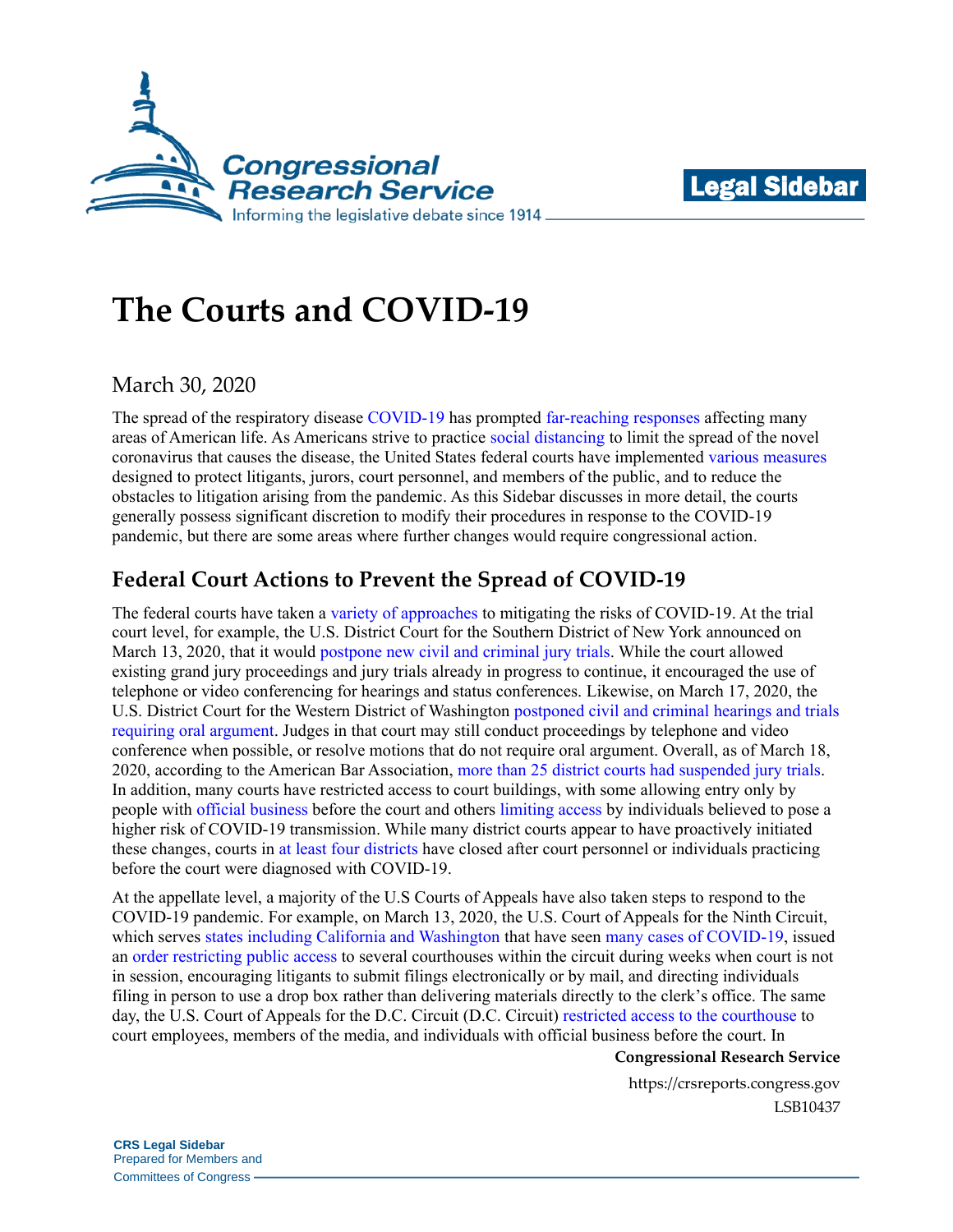



# **The Courts and COVID-19**

## March 30, 2020

The spread of the respiratory disease [COVID-19](https://www.cdc.gov/coronavirus/2019-ncov/about/index.html) has prompted [far-reaching responses](https://crsreports.congress.gov/product/pdf/R/R46219) affecting many areas of American life. As Americans strive to practice [social distancing](https://coronavirus.uwhealth.org/social-distancing/) to limit the spread of the novel coronavirus that causes the disease, the United States federal courts have implemented [various measures](https://www.uscourts.gov/news/2020/03/12/judiciary-preparedness-coronavirus-covid-19) designed to protect litigants, jurors, court personnel, and members of the public, and to reduce the obstacles to litigation arising from the pandemic. As this Sidebar discusses in more detail, the courts generally possess significant discretion to modify their procedures in response to the COVID-19 pandemic, but there are some areas where further changes would require congressional action.

# **Federal Court Actions to Prevent the Spread of COVID-19**

The federal courts have taken a [variety of approaches](https://crsreports.congress.gov/product/pdf/IN/IN11252) to mitigating the risks of COVID-19. At the trial court level, for example, the U.S. District Court for the Southern District of New York announced on March 13, 2020, that it would postpone [new civil and criminal](https://nysd.uscourts.gov/sites/default/files/2020-03/20%20MISC%20154a%20(002)%20-%20In%20Re%20Coronavirus-COVID-19%20Pandemic.pdf) jury trials. While the court allowed existing grand jury proceedings and jury trials already in progress to continue, it encouraged the use of telephone or video conferencing for hearings and status conferences. Likewise, on March 17, 2020, the U.S. District Court for the Western District of Washington [postponed civil and criminal hearings and trials](https://www.wawd.uscourts.gov/sites/wawd/files/03-17-20GeneralOrder02-20.pdf) [requiring oral argument.](https://www.wawd.uscourts.gov/sites/wawd/files/03-17-20GeneralOrder02-20.pdf) Judges in that court may still conduct proceedings by telephone and video conference when possible, or resolve motions that do not require oral argument. Overall, as of March 18, 2020, according to the American Bar Association, [more than 25 district courts had suspended jury trials.](https://www.abajournal.com/news/article/a-slew-of-federal-and-state-courts-jump-on-the-bandwagon-suspending-trials-for-coronavirus-threat) In addition, many courts have restricted access to court buildings, with some allowing entry only by people with [official business](http://www.vawd.uscourts.gov/media/31965013/restrictions-on-visitors-poff-building.pdf) before the court and others [limiting access](http://www.cacd.uscourts.gov/news/visitor-restrictions) by individuals believed to pose a higher risk of COVID-19 transmission. While many district courts appear to have proactively initiated these changes, courts in [at](https://www.pamd.uscourts.gov/sites/pamd/files/general-ordes/2020-003.pdf) [least](https://www.ded.uscourts.gov/sites/ded/files/news/ORDER%20-%20Courthouse%20Closed%203-19-20.pdf) [four](http://www.gand.uscourts.gov/sites/default/files/NDGA_GeneralOrder20-02.pdf) [districts](http://www.mad.uscourts.gov/general/pdf/announce/GeneralOrder20-7Coronavirus_OrderConcerningTemporaryClosureOfSpringfieldCourtFacilities_March_23_2020.pdf) have closed after court personnel or individuals practicing before the court were diagnosed with COVID-19.

At the appellate level, a majority of the U.S Courts of Appeals have also taken steps to respond to the COVID-19 pandemic. For example, on March 13, 2020, the U.S. Court of Appeals for the Ninth Circuit, which serves [states including California and Washington](https://www.ca9.uscourts.gov/content/view.php?pk_id=0000000135) that have seen [many cases of COVID-19,](https://www.cdc.gov/coronavirus/2019-ncov/cases-updates/cases-in-us.html) issued an [order restricting public access](http://cdn.ca9.uscourts.gov/datastore/general/2020/03/16/building_closure_order.pdf) to several courthouses within the circuit during weeks when court is not in session, encouraging litigants to submit filings electronically or by mail, and directing individuals filing in person to use a drop box rather than delivering materials directly to the clerk's office. The same day, the U.S. Court of Appeals for the D.C. Circuit (D.C. Circuit) [restricted access to the courthouse](https://www.dcd.uscourts.gov/sites/dcd/files/RestrictedAccessNoticeMarch122020.pdf) to court employees, members of the media, and individuals with official business before the court. In

#### **Congressional Research Service**

https://crsreports.congress.gov LSB10437

**CRS Legal Sidebar** Prepared for Members and Committees of Congress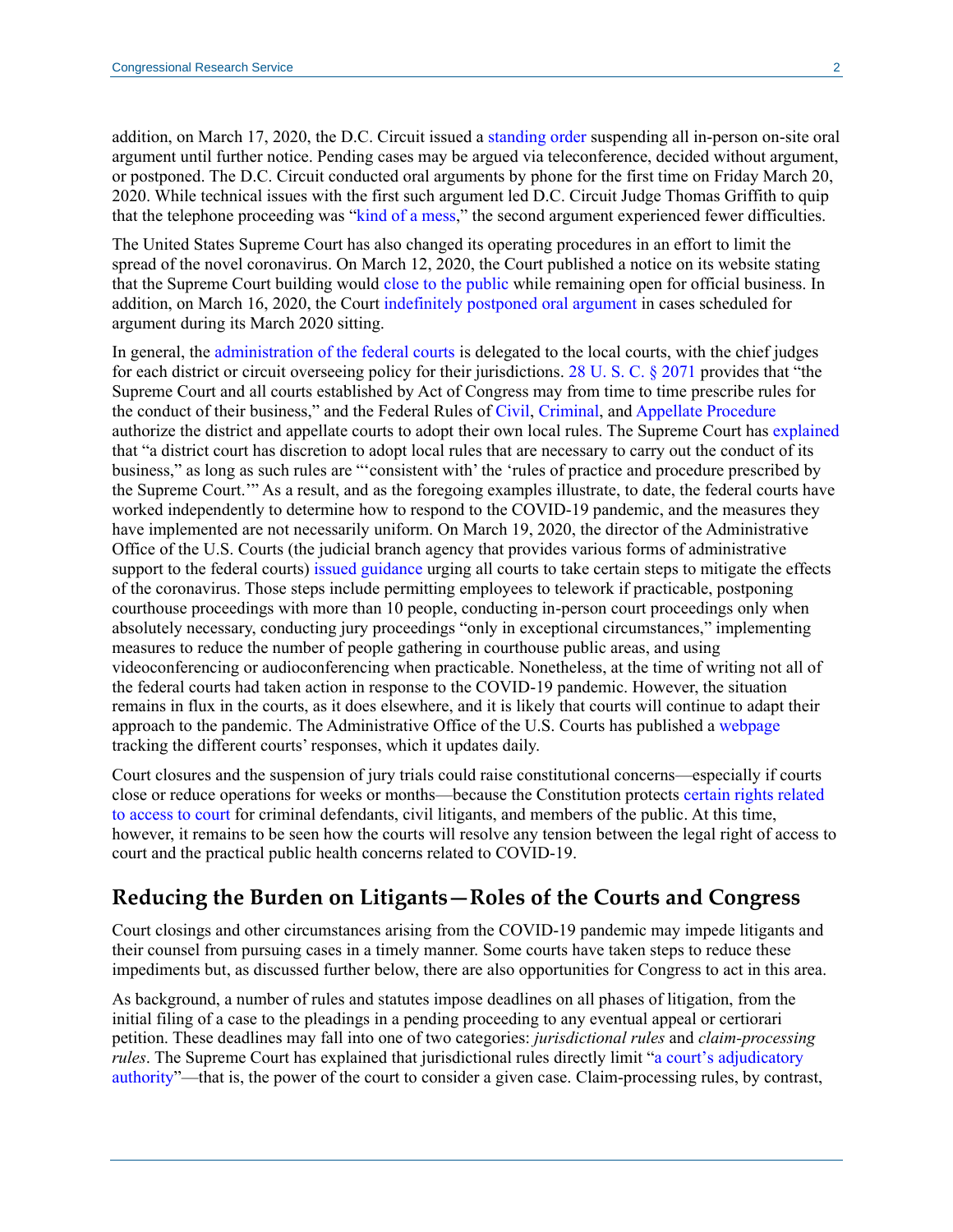addition, on March 17, 2020, the D.C. Circuit issued a [standing order](https://www.cadc.uscourts.gov/intranet/home.nsf/Content/Announcement+-+Standing+Order+In+Re+Oral+Arguments+COVID-19/$FILE/COVIDStandingOrder.pdf) suspending all in-person on-site oral argument until further notice. Pending cases may be argued via teleconference, decided without argument, or postponed. The D.C. Circuit conducted oral arguments by phone for the first time on Friday March 20, 2020. While technical issues with the first such argument led D.C. Circuit Judge Thomas Griffith to quip that the telephone proceeding was ["kind of a mess,](https://www.law.com/nationallawjournal/2020/03/20/its-kind-of-a-mess-phone-arguments-get-rocky-debut-at-dc-circuit-during-covid-19-pandemic/)" the second argument experienced fewer difficulties.

The United States Supreme Court has also changed its operating procedures in an effort to limit the spread of the novel coronavirus. On March 12, 2020, the Court published a notice on its website stating that the Supreme Court building would [close to the public](https://www.scotusblog.com/2020/03/court-to-close-to-public-in-pandemic/) while remaining open for official business. In addition, on March 16, 2020, the Court [indefinitely postponed oral argument](https://www.supremecourt.gov/publicinfo/press/pressreleases/pr_03-16-20) in cases scheduled for argument during its March 2020 sitting.

In general, the [administration of the federal courts](https://www.uscourts.gov/about-federal-courts/judicial-administration) is delegated to the local courts, with the chief judges for each district or circuit overseeing policy for their jurisdictions. [28 U. S. C. § 2071](https://uscode.house.gov/view.xhtml?req=granuleid:USC-prelim-title28-section2071&num=0&edition=prelim) provides that "the Supreme Court and all courts established by Act of Congress may from time to time prescribe rules for the conduct of their business," and the Federal Rules of [Civil,](https://www.uscourts.gov/sites/default/files/cv_rules_eff._dec._1_2018_0.pdf#page=120) [Criminal,](https://www.uscourts.gov/sites/default/files/federal_rules/FRCrP12.1.2014.pdf#page=81) an[d Appellate Procedure](https://www.uscourts.gov/sites/default/files/federal_rules_of_appellate_procedure_-_dec_1_2019_0.pdf#page=62) authorize the district and appellate courts to adopt their own local rules. The Supreme Court has [explained](https://scholar.google.com/scholar_case?case=9731823004757599514&q=482+U.S.+641&hl=en&as_sdt=6,47#p645) that "a district court has discretion to adopt local rules that are necessary to carry out the conduct of its business," as long as such rules are "'consistent with' the 'rules of practice and procedure prescribed by the Supreme Court.'" As a result, and as the foregoing examples illustrate, to date, the federal courts have worked independently to determine how to respond to the COVID-19 pandemic, and the measures they have implemented are not necessarily uniform. On March 19, 2020, the director of the Administrative Office of the U.S. Courts (the judicial branch agency that provides various forms of administrative support to the federal courts) [issued guidance](https://www.uscourts.gov/news/2020/03/12/judiciary-preparedness-coronavirus-covid-19) urging all courts to take certain steps to mitigate the effects of the coronavirus. Those steps include permitting employees to telework if practicable, postponing courthouse proceedings with more than 10 people, conducting in-person court proceedings only when absolutely necessary, conducting jury proceedings "only in exceptional circumstances," implementing measures to reduce the number of people gathering in courthouse public areas, and using videoconferencing or audioconferencing when practicable. Nonetheless, at the time of writing not all of the federal courts had taken action in response to the COVID-19 pandemic. However, the situation remains in flux in the courts, as it does elsewhere, and it is likely that courts will continue to adapt their approach to the pandemic. The Administrative Office of the U.S. Courts has published a [webpage](https://www.uscourts.gov/about-federal-courts/court-website-links/court-orders-and-updates-during-covid19-pandemic) tracking the different courts' responses, which it updates daily.

Court closures and the suspension of jury trials could raise constitutional concerns—especially if courts close or reduce operations for weeks or months—because the Constitution protects [certain rights related](https://scholar.google.com/scholar_case?case=6561706852611120473&q=541+us+509&hl=en&as_sdt=6,47#p523)  [to access to court](https://scholar.google.com/scholar_case?case=6561706852611120473&q=541+us+509&hl=en&as_sdt=6,47#p523) for criminal defendants, civil litigants, and members of the public. At this time, however, it remains to be seen how the courts will resolve any tension between the legal right of access to court and the practical public health concerns related to COVID-19.

### **Reducing the Burden on Litigants—Roles of the Courts and Congress**

Court closings and other circumstances arising from the COVID-19 pandemic may impede litigants and their counsel from pursuing cases in a timely manner. Some courts have taken steps to reduce these impediments but, as discussed further below, there are also opportunities for Congress to act in this area.

As background, a number of rules and statutes impose deadlines on all phases of litigation, from the initial filing of a case to the pleadings in a pending proceeding to any eventual appeal or certiorari petition. These deadlines may fall into one of two categories: *jurisdictional rules* and *claim-processing rules*. The Supreme Court has explained that jurisdictional rules directly limit "a court's adjudicatory [authority"](https://scholar.google.com/scholar_case?case=7993381160950809483&q=559+U.S.+154&hl=en&as_sdt=6,47#p1243)—that is, the power of the court to consider a given case. Claim-processing rules, by contrast,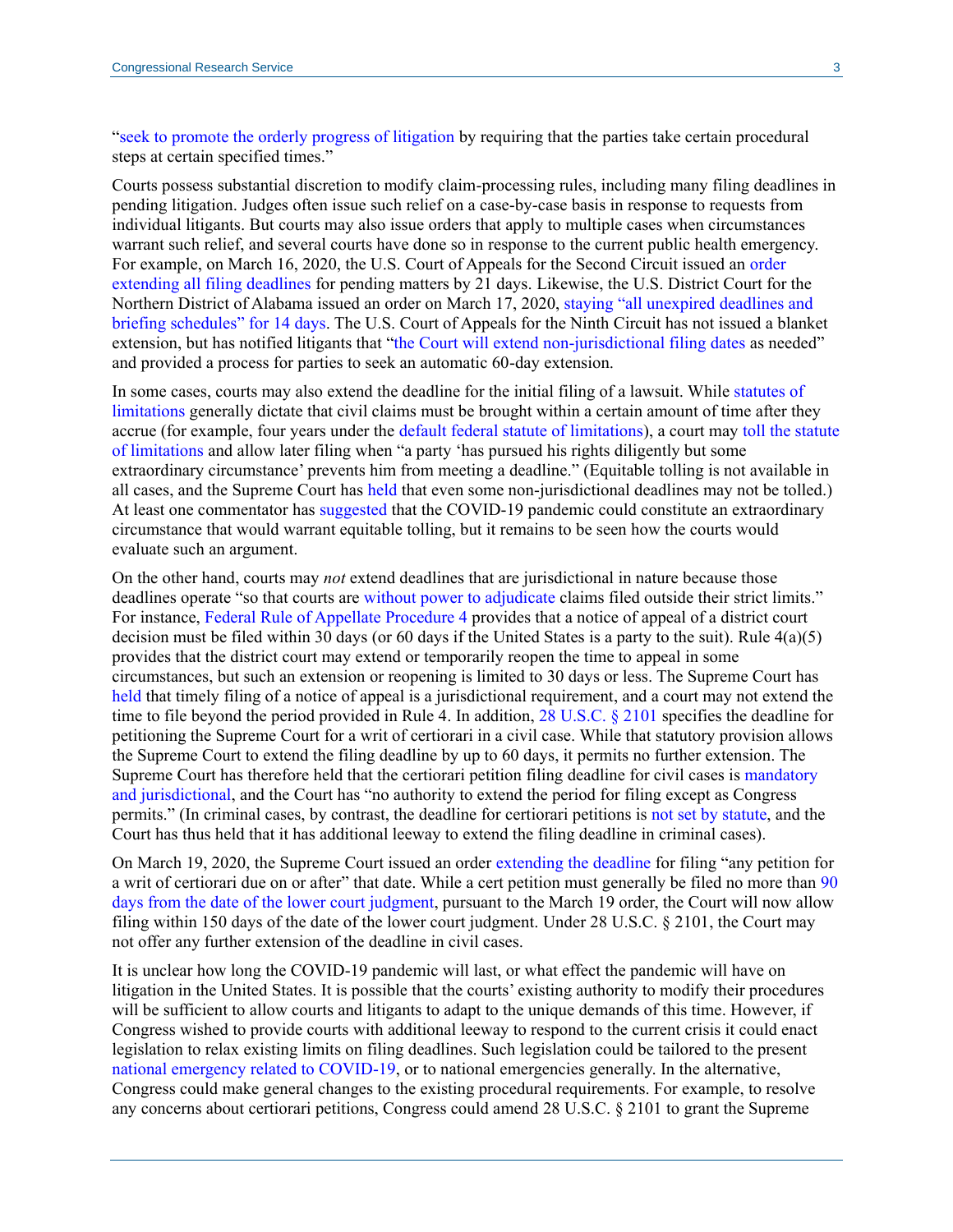["seek to promote the orderly progress of litigation](https://scholar.google.com/scholar_case?case=14576988611242334983&q=131+S.+Ct.+1197&hl=en&as_sdt=6,47#p1203) by requiring that the parties take certain procedural steps at certain specified times."

Courts possess substantial discretion to modify claim-processing rules, including many filing deadlines in pending litigation. Judges often issue such relief on a case-by-case basis in response to requests from individual litigants. But courts may also issue orders that apply to multiple cases when circumstances warrant such relief, and several courts have done so in response to the current public health emergency. For example, on March 16, 2020, the U.S. Court of Appeals for the Second Circuit issued an [order](http://www.ca2.uscourts.gov/docs/Order%20-%20RAK%20Extending%20Filing%20Dates%20FINAL%2031620.pdf)  [extending all filing deadlines](http://www.ca2.uscourts.gov/docs/Order%20-%20RAK%20Extending%20Filing%20Dates%20FINAL%2031620.pdf) for pending matters by 21 days. Likewise, the U.S. District Court for the Northern District of Alabama issued an order on March 17, 2020, [staying "all unexpired deadlines and](https://www.alnd.uscourts.gov/sites/alnd/files/General%20Order%20-%20Court%20Operations%20During%20the%20Public%20Health%20Emergency%20Caused%20By%20the%20COVID-19%20Virus%20effective%20March%2017%2C%202020.pdf)  [briefing schedules" for](https://www.alnd.uscourts.gov/sites/alnd/files/General%20Order%20-%20Court%20Operations%20During%20the%20Public%20Health%20Emergency%20Caused%20By%20the%20COVID-19%20Virus%20effective%20March%2017%2C%202020.pdf) 14 days. The U.S. Court of Appeals for the Ninth Circuit has not issued a blanket extension, but has notified litigants that ["the Court will extend non-jurisdictional filing dates](http://cdn.ca9.uscourts.gov/datastore/general/2020/03/16/COVID-19%20Notice.pdf) as needed" and provided a process for parties to seek an automatic 60-day extension.

In some cases, courts may also extend the deadline for the initial filing of a lawsuit. While [statutes of](https://crsreports.congress.gov/product/pdf/LSB/LSB10390)  [limitations](https://crsreports.congress.gov/product/pdf/LSB/LSB10390) generally dictate that civil claims must be brought within a certain amount of time after they accrue (for example, four years under the [default federal statute of limitations\)](https://uscode.house.gov/view.xhtml?req=granuleid:USC-prelim-title28-section1658&num=0&edition=prelim), a court may [toll the statute](https://www.supremecourt.gov/opinions/14pdf/13-1074_9olb.pdf#page=7)  [of limitations](https://www.supremecourt.gov/opinions/14pdf/13-1074_9olb.pdf#page=7) and allow later filing when "a party 'has pursued his rights diligently but some extraordinary circumstance' prevents him from meeting a deadline." (Equitable tolling is not available in all cases, and the Supreme Court has [held](https://scholar.google.com/scholar_case?case=15868748383156864423&q=139+S.+Ct.+710+&hl=en&as_sdt=6,47#p714) that even some non-jurisdictional deadlines may not be tolled.) At least one commentator has [suggested](https://www.jdsupra.com/legalnews/foreclosure-holds-impacting-statute-of-64233/) that the COVID-19 pandemic could constitute an extraordinary circumstance that would warrant equitable tolling, but it remains to be seen how the courts would evaluate such an argument.

On the other hand, courts may *not* extend deadlines that are jurisdictional in nature because those deadlines operate "so that courts are [without power to adjudicate](https://scholar.google.com/scholar_case?case=10475186777631315499&q=575+U.S.+402&hl=en&as_sdt=6,47#p1640) claims filed outside their strict limits." For instance, [Federal Rule of Appellate Procedure 4](https://www.uscourts.gov/sites/default/files/federal_rules_of_appellate_procedure_-_dec_1_2019_0.pdf#page=17) provides that a notice of appeal of a district court decision must be filed within 30 days (or 60 days if the United States is a party to the suit). Rule  $4(a)(5)$ provides that the district court may extend or temporarily reopen the time to appeal in some circumstances, but such an extension or reopening is limited to 30 days or less. The Supreme Court has [held](https://scholar.google.com/scholar_case?case=18290386578774996072&q=551+U.S.+205&hl=en&as_sdt=6,47#p2363) that timely filing of a notice of appeal is a jurisdictional requirement, and a court may not extend the time to file beyond the period provided in Rule 4. In addition, [28 U.S.C. § 2101](https://uscode.house.gov/view.xhtml?req=granuleid:USC-prelim-title28-section2101&num=0&edition=prelim) specifies the deadline for petitioning the Supreme Court for a writ of certiorari in a civil case. While that statutory provision allows the Supreme Court to extend the filing deadline by up to 60 days, it permits no further extension. The Supreme Court has therefore held that the certiorari petition filing deadline for civil cases is [mandatory](https://scholar.google.com/scholar_case?case=9757998890329388019&q=565+us+134&hl=en&as_sdt=6,47#p45)  [and jurisdictional,](https://scholar.google.com/scholar_case?case=9757998890329388019&q=565+us+134&hl=en&as_sdt=6,47#p45) and the Court has "no authority to extend the period for filing except as Congress permits." (In criminal cases, by contrast, the deadline for certiorari petitions is [not set by statute,](https://scholar.google.com/scholar_case?case=2842461886048417369&q=565+us+134&hl=en&as_sdt=6,47#[14]) and the Court has thus held that it has additional leeway to extend the filing deadline in criminal cases).

On March 19, 2020, the Supreme Court issued an order [extending the deadline](https://www.supremecourt.gov/orders/courtorders/031920zr_d1o3.pdf) for filing "any petition for a writ of certiorari due on or after" that date. While a cert petition must generally be filed no more than [90](https://www.supremecourt.gov/ctrules/2019RulesoftheCourt.pdf#page=13)  [days from the date of the lower court judgment,](https://www.supremecourt.gov/ctrules/2019RulesoftheCourt.pdf#page=13) pursuant to the March 19 order, the Court will now allow filing within 150 days of the date of the lower court judgment. Under 28 U.S.C. § 2101, the Court may not offer any further extension of the deadline in civil cases.

It is unclear how long the COVID-19 pandemic will last, or what effect the pandemic will have on litigation in the United States. It is possible that the courts' existing authority to modify their procedures will be sufficient to allow courts and litigants to adapt to the unique demands of this time. However, if Congress wished to provide courts with additional leeway to respond to the current crisis it could enact legislation to relax existing limits on filing deadlines. Such legislation could be tailored to the present [national emergency related to COVID-19,](https://www.whitehouse.gov/presidential-actions/proclamation-declaring-national-emergency-concerning-novel-coronavirus-disease-covid-19-outbreak/) or to national emergencies generally. In the alternative, Congress could make general changes to the existing procedural requirements. For example, to resolve any concerns about certiorari petitions, Congress could amend 28 U.S.C. § 2101 to grant the Supreme